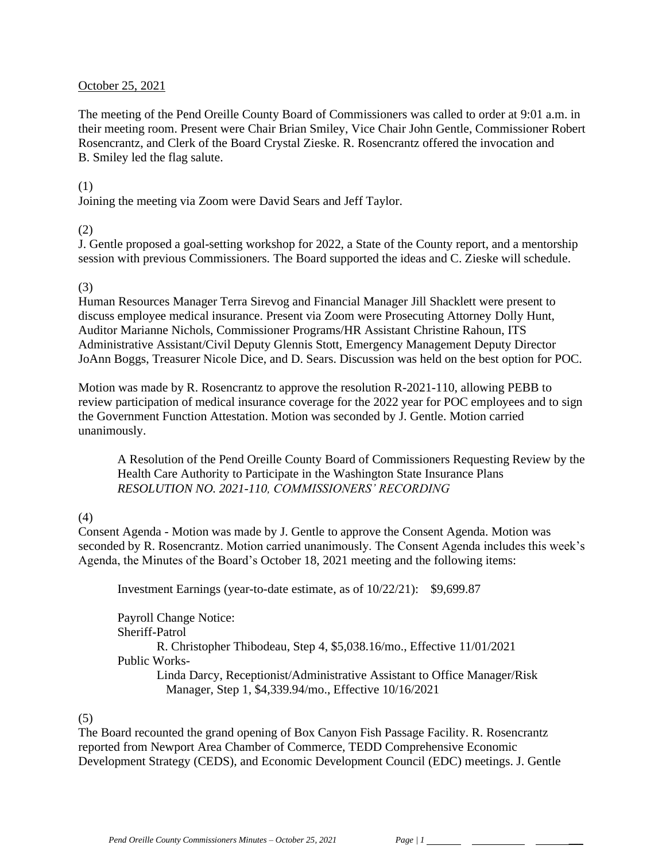#### October 25, 2021

The meeting of the Pend Oreille County Board of Commissioners was called to order at 9:01 a.m. in their meeting room. Present were Chair Brian Smiley, Vice Chair John Gentle, Commissioner Robert Rosencrantz, and Clerk of the Board Crystal Zieske. R. Rosencrantz offered the invocation and B. Smiley led the flag salute.

### (1)

Joining the meeting via Zoom were David Sears and Jeff Taylor.

### (2)

J. Gentle proposed a goal-setting workshop for 2022, a State of the County report, and a mentorship session with previous Commissioners. The Board supported the ideas and C. Zieske will schedule.

## (3)

Human Resources Manager Terra Sirevog and Financial Manager Jill Shacklett were present to discuss employee medical insurance. Present via Zoom were Prosecuting Attorney Dolly Hunt, Auditor Marianne Nichols, Commissioner Programs/HR Assistant Christine Rahoun, ITS Administrative Assistant/Civil Deputy Glennis Stott, Emergency Management Deputy Director JoAnn Boggs, Treasurer Nicole Dice, and D. Sears. Discussion was held on the best option for POC.

Motion was made by R. Rosencrantz to approve the resolution R-2021-110, allowing PEBB to review participation of medical insurance coverage for the 2022 year for POC employees and to sign the Government Function Attestation. Motion was seconded by J. Gentle. Motion carried unanimously.

A Resolution of the Pend Oreille County Board of Commissioners Requesting Review by the Health Care Authority to Participate in the Washington State Insurance Plans *RESOLUTION NO. 2021-110, COMMISSIONERS' RECORDING* 

## (4)

Consent Agenda - Motion was made by J. Gentle to approve the Consent Agenda. Motion was seconded by R. Rosencrantz. Motion carried unanimously. The Consent Agenda includes this week's Agenda, the Minutes of the Board's October 18, 2021 meeting and the following items:

Investment Earnings (year-to-date estimate, as of 10/22/21): \$9,699.87

Payroll Change Notice: Sheriff-Patrol R. Christopher Thibodeau, Step 4, \$5,038.16/mo., Effective 11/01/2021 Public Works-Linda Darcy, Receptionist/Administrative Assistant to Office Manager/Risk Manager, Step 1, \$4,339.94/mo., Effective 10/16/2021

#### (5)

The Board recounted the grand opening of Box Canyon Fish Passage Facility. R. Rosencrantz reported from Newport Area Chamber of Commerce, TEDD Comprehensive Economic Development Strategy (CEDS), and Economic Development Council (EDC) meetings. J. Gentle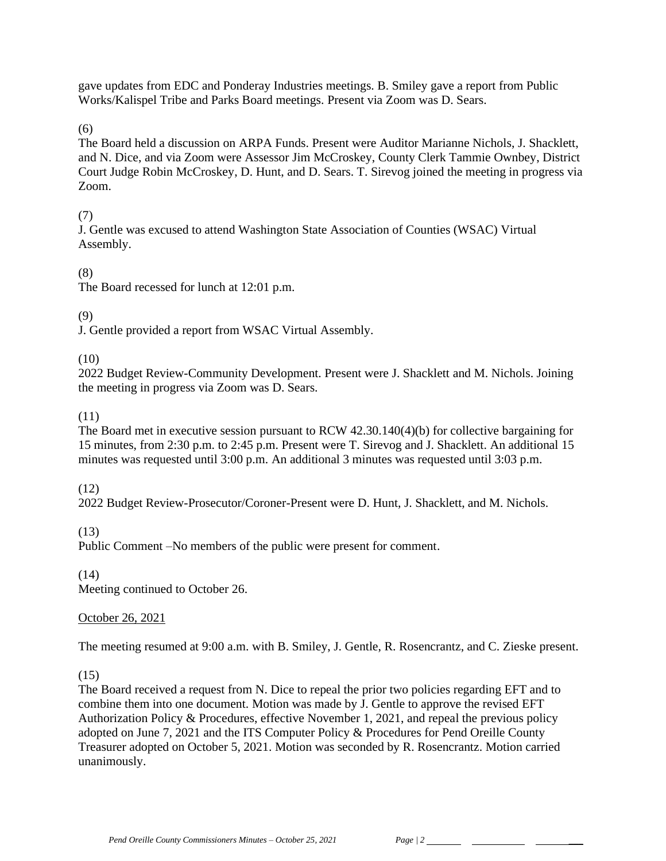gave updates from EDC and Ponderay Industries meetings. B. Smiley gave a report from Public Works/Kalispel Tribe and Parks Board meetings. Present via Zoom was D. Sears.

(6)

The Board held a discussion on ARPA Funds. Present were Auditor Marianne Nichols, J. Shacklett, and N. Dice, and via Zoom were Assessor Jim McCroskey, County Clerk Tammie Ownbey, District Court Judge Robin McCroskey, D. Hunt, and D. Sears. T. Sirevog joined the meeting in progress via Zoom.

# (7)

J. Gentle was excused to attend Washington State Association of Counties (WSAC) Virtual Assembly.

## (8)

The Board recessed for lunch at 12:01 p.m.

## (9)

J. Gentle provided a report from WSAC Virtual Assembly.

 $(10)$ 

2022 Budget Review-Community Development. Present were J. Shacklett and M. Nichols. Joining the meeting in progress via Zoom was D. Sears.

## (11)

The Board met in executive session pursuant to RCW 42.30.140(4)(b) for collective bargaining for 15 minutes, from 2:30 p.m. to 2:45 p.m. Present were T. Sirevog and J. Shacklett. An additional 15 minutes was requested until 3:00 p.m. An additional 3 minutes was requested until 3:03 p.m.

## (12)

2022 Budget Review-Prosecutor/Coroner-Present were D. Hunt, J. Shacklett, and M. Nichols.

(13)

Public Comment –No members of the public were present for comment.

(14)

Meeting continued to October 26.

## October 26, 2021

The meeting resumed at 9:00 a.m. with B. Smiley, J. Gentle, R. Rosencrantz, and C. Zieske present.

## (15)

The Board received a request from N. Dice to repeal the prior two policies regarding EFT and to combine them into one document. Motion was made by J. Gentle to approve the revised EFT Authorization Policy & Procedures, effective November 1, 2021, and repeal the previous policy adopted on June 7, 2021 and the ITS Computer Policy & Procedures for Pend Oreille County Treasurer adopted on October 5, 2021. Motion was seconded by R. Rosencrantz. Motion carried unanimously.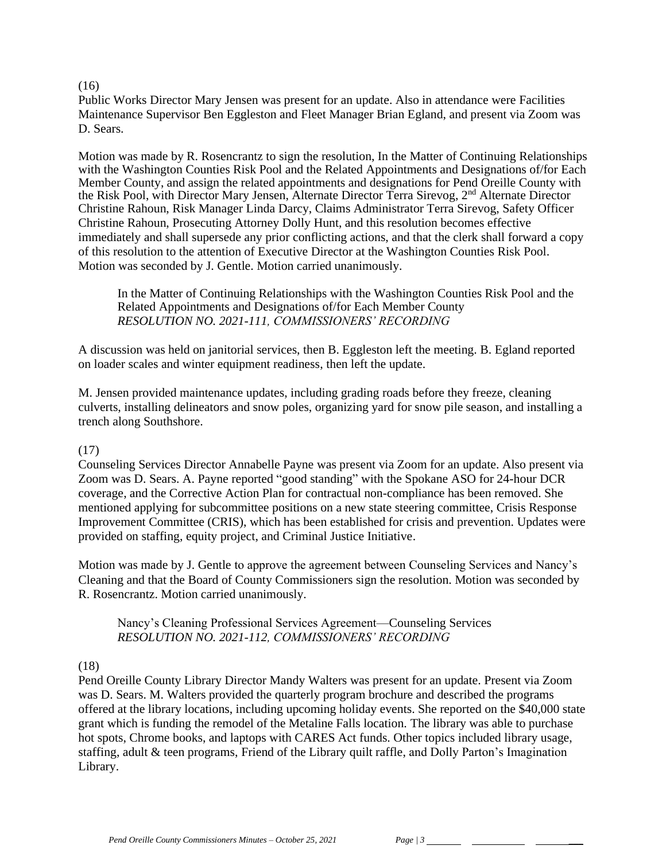#### $(16)$

Public Works Director Mary Jensen was present for an update. Also in attendance were Facilities Maintenance Supervisor Ben Eggleston and Fleet Manager Brian Egland, and present via Zoom was D. Sears.

Motion was made by R. Rosencrantz to sign the resolution, In the Matter of Continuing Relationships with the Washington Counties Risk Pool and the Related Appointments and Designations of/for Each Member County, and assign the related appointments and designations for Pend Oreille County with the Risk Pool, with Director Mary Jensen, Alternate Director Terra Sirevog, 2nd Alternate Director Christine Rahoun, Risk Manager Linda Darcy, Claims Administrator Terra Sirevog, Safety Officer Christine Rahoun, Prosecuting Attorney Dolly Hunt, and this resolution becomes effective immediately and shall supersede any prior conflicting actions, and that the clerk shall forward a copy of this resolution to the attention of Executive Director at the Washington Counties Risk Pool. Motion was seconded by J. Gentle. Motion carried unanimously.

In the Matter of Continuing Relationships with the Washington Counties Risk Pool and the Related Appointments and Designations of/for Each Member County *RESOLUTION NO. 2021-111, COMMISSIONERS' RECORDING* 

A discussion was held on janitorial services, then B. Eggleston left the meeting. B. Egland reported on loader scales and winter equipment readiness, then left the update.

M. Jensen provided maintenance updates, including grading roads before they freeze, cleaning culverts, installing delineators and snow poles, organizing yard for snow pile season, and installing a trench along Southshore.

## (17)

Counseling Services Director Annabelle Payne was present via Zoom for an update. Also present via Zoom was D. Sears. A. Payne reported "good standing" with the Spokane ASO for 24-hour DCR coverage, and the Corrective Action Plan for contractual non-compliance has been removed. She mentioned applying for subcommittee positions on a new state steering committee, Crisis Response Improvement Committee (CRIS), which has been established for crisis and prevention. Updates were provided on staffing, equity project, and Criminal Justice Initiative.

Motion was made by J. Gentle to approve the agreement between Counseling Services and Nancy's Cleaning and that the Board of County Commissioners sign the resolution. Motion was seconded by R. Rosencrantz. Motion carried unanimously.

Nancy's Cleaning Professional Services Agreement—Counseling Services *RESOLUTION NO. 2021-112, COMMISSIONERS' RECORDING* 

# (18)

Pend Oreille County Library Director Mandy Walters was present for an update. Present via Zoom was D. Sears. M. Walters provided the quarterly program brochure and described the programs offered at the library locations, including upcoming holiday events. She reported on the \$40,000 state grant which is funding the remodel of the Metaline Falls location. The library was able to purchase hot spots, Chrome books, and laptops with CARES Act funds. Other topics included library usage, staffing, adult & teen programs, Friend of the Library quilt raffle, and Dolly Parton's Imagination Library.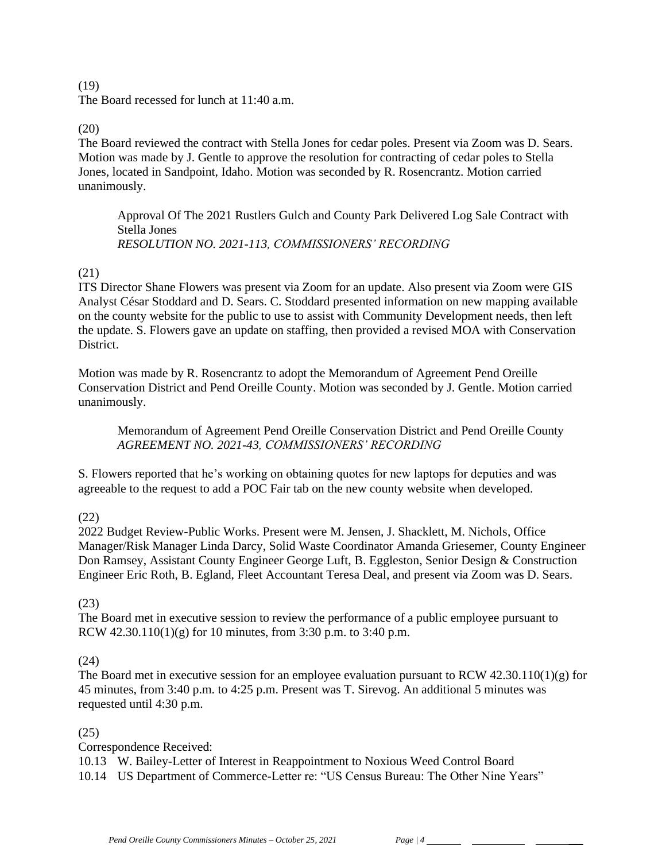#### (19)

The Board recessed for lunch at 11:40 a.m.

### (20)

The Board reviewed the contract with Stella Jones for cedar poles. Present via Zoom was D. Sears. Motion was made by J. Gentle to approve the resolution for contracting of cedar poles to Stella Jones, located in Sandpoint, Idaho. Motion was seconded by R. Rosencrantz. Motion carried unanimously.

Approval Of The 2021 Rustlers Gulch and County Park Delivered Log Sale Contract with Stella Jones *RESOLUTION NO. 2021-113, COMMISSIONERS' RECORDING* 

## (21)

ITS Director Shane Flowers was present via Zoom for an update. Also present via Zoom were GIS Analyst César Stoddard and D. Sears. C. Stoddard presented information on new mapping available on the county website for the public to use to assist with Community Development needs, then left the update. S. Flowers gave an update on staffing, then provided a revised MOA with Conservation District.

Motion was made by R. Rosencrantz to adopt the Memorandum of Agreement Pend Oreille Conservation District and Pend Oreille County. Motion was seconded by J. Gentle. Motion carried unanimously.

Memorandum of Agreement Pend Oreille Conservation District and Pend Oreille County *AGREEMENT NO. 2021-43, COMMISSIONERS' RECORDING*

S. Flowers reported that he's working on obtaining quotes for new laptops for deputies and was agreeable to the request to add a POC Fair tab on the new county website when developed.

## (22)

2022 Budget Review-Public Works. Present were M. Jensen, J. Shacklett, M. Nichols, Office Manager/Risk Manager Linda Darcy, Solid Waste Coordinator Amanda Griesemer, County Engineer Don Ramsey, Assistant County Engineer George Luft, B. Eggleston, Senior Design & Construction Engineer Eric Roth, B. Egland, Fleet Accountant Teresa Deal, and present via Zoom was D. Sears.

## (23)

The Board met in executive session to review the performance of a public employee pursuant to RCW  $42.30.110(1)(g)$  for 10 minutes, from 3:30 p.m. to 3:40 p.m.

## (24)

The Board met in executive session for an employee evaluation pursuant to RCW 42.30.110(1)(g) for 45 minutes, from 3:40 p.m. to 4:25 p.m. Present was T. Sirevog. An additional 5 minutes was requested until 4:30 p.m.

## (25)

Correspondence Received:

10.13 W. Bailey-Letter of Interest in Reappointment to Noxious Weed Control Board

10.14 US Department of Commerce-Letter re: "US Census Bureau: The Other Nine Years"